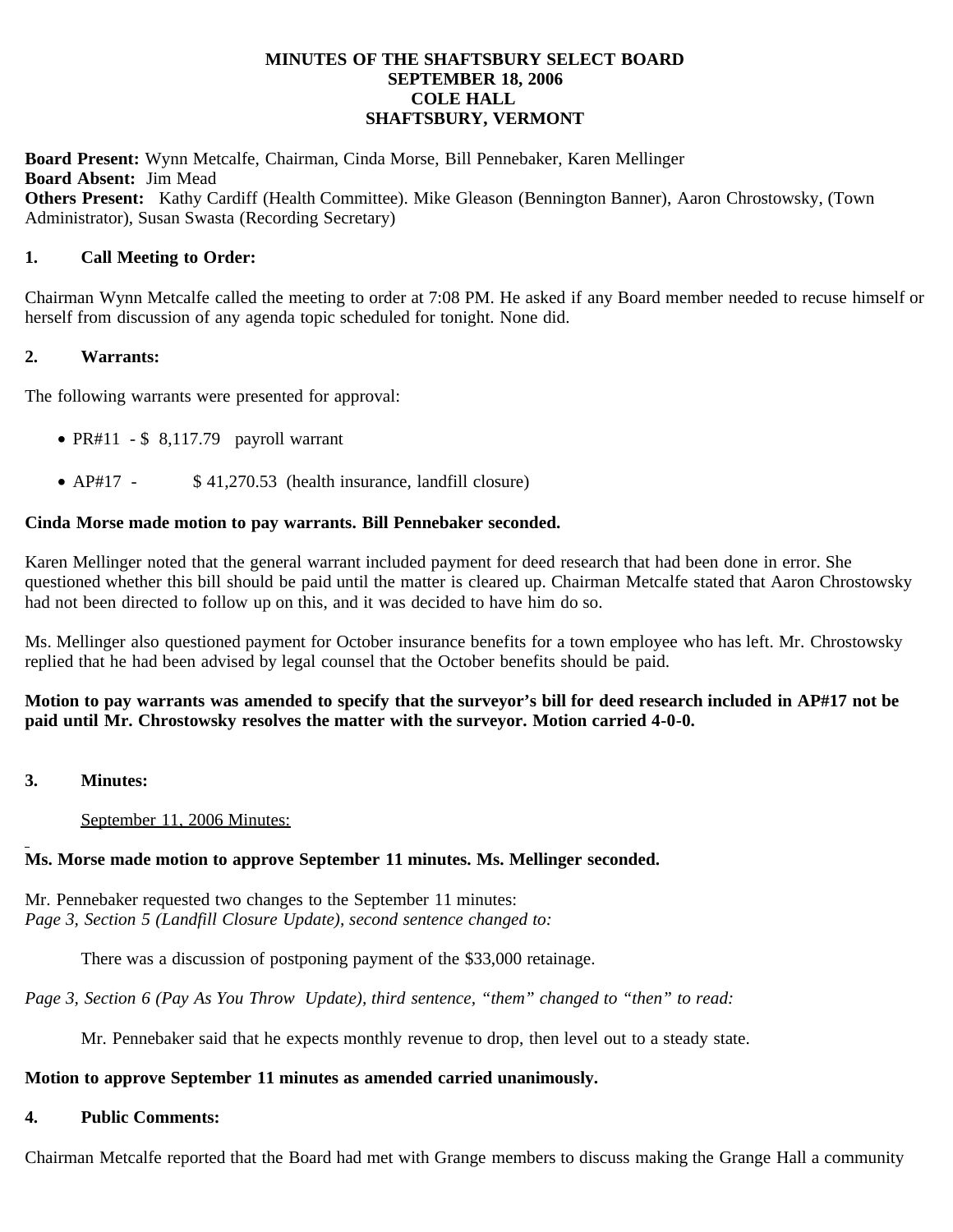### **MINUTES OF THE SHAFTSBURY SELECT BOARD SEPTEMBER 18, 2006 COLE HALL SHAFTSBURY, VERMONT**

**Board Present:** Wynn Metcalfe, Chairman, Cinda Morse, Bill Pennebaker, Karen Mellinger **Board Absent:** Jim Mead **Others Present:** Kathy Cardiff (Health Committee). Mike Gleason (Bennington Banner), Aaron Chrostowsky, (Town Administrator), Susan Swasta (Recording Secretary)

### **1. Call Meeting to Order:**

Chairman Wynn Metcalfe called the meeting to order at 7:08 PM. He asked if any Board member needed to recuse himself or herself from discussion of any agenda topic scheduled for tonight. None did.

### **2. Warrants:**

The following warrants were presented for approval:

- PR#11  $$ 8,117.79$  payroll warrant
- AP#17 \$41,270.53 (health insurance, landfill closure)

#### **Cinda Morse made motion to pay warrants. Bill Pennebaker seconded.**

Karen Mellinger noted that the general warrant included payment for deed research that had been done in error. She questioned whether this bill should be paid until the matter is cleared up. Chairman Metcalfe stated that Aaron Chrostowsky had not been directed to follow up on this, and it was decided to have him do so.

Ms. Mellinger also questioned payment for October insurance benefits for a town employee who has left. Mr. Chrostowsky replied that he had been advised by legal counsel that the October benefits should be paid.

## **Motion to pay warrants was amended to specify that the surveyor's bill for deed research included in AP#17 not be paid until Mr. Chrostowsky resolves the matter with the surveyor. Motion carried 4-0-0.**

**3. Minutes:**

#### September 11, 2006 Minutes:

### **Ms. Morse made motion to approve September 11 minutes. Ms. Mellinger seconded.**

Mr. Pennebaker requested two changes to the September 11 minutes: *Page 3, Section 5 (Landfill Closure Update), second sentence changed to:*

There was a discussion of postponing payment of the \$33,000 retainage.

*Page 3, Section 6 (Pay As You Throw Update), third sentence, "them" changed to "then" to read:*

Mr. Pennebaker said that he expects monthly revenue to drop, then level out to a steady state.

#### **Motion to approve September 11 minutes as amended carried unanimously.**

#### **4. Public Comments:**

Chairman Metcalfe reported that the Board had met with Grange members to discuss making the Grange Hall a community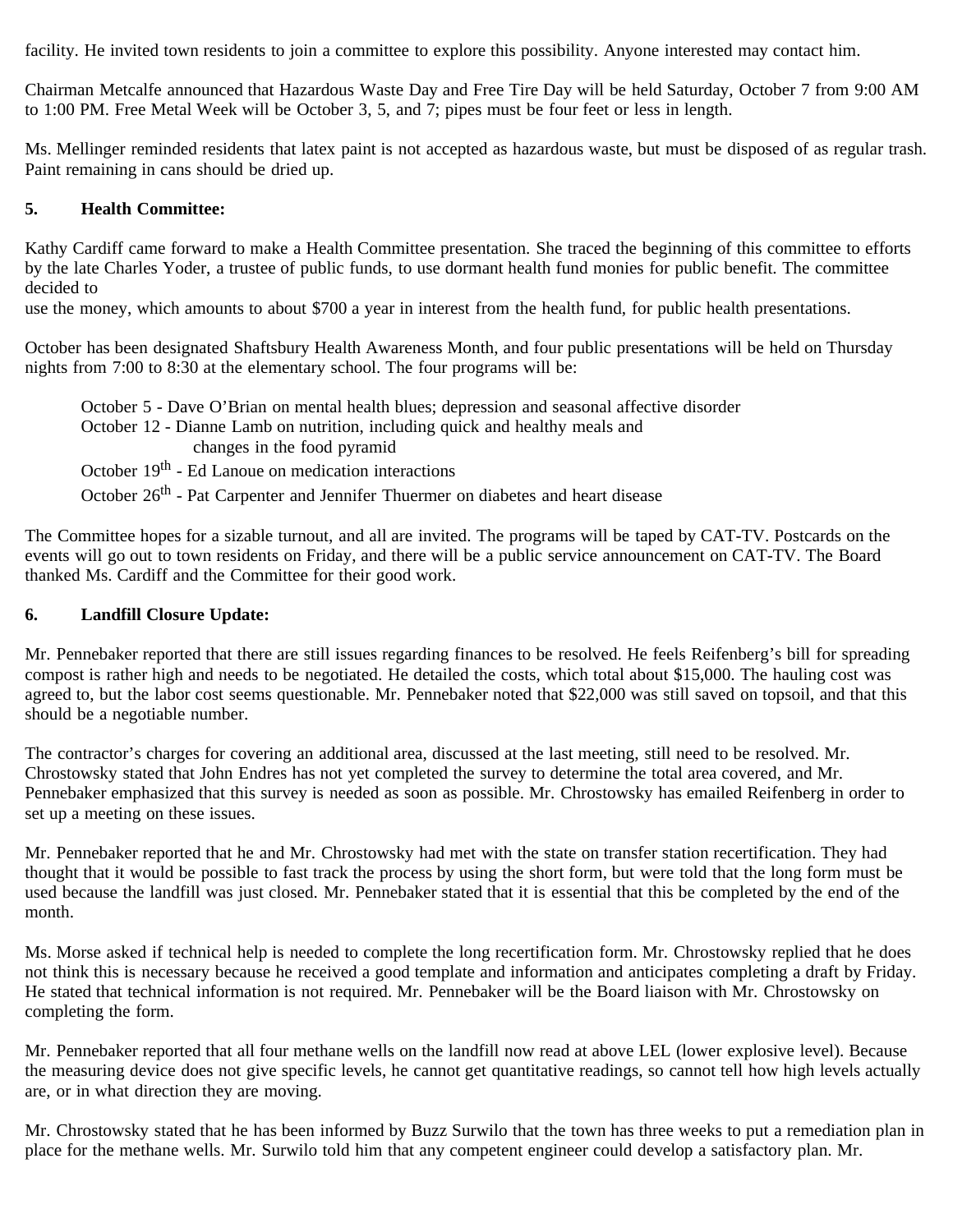facility. He invited town residents to join a committee to explore this possibility. Anyone interested may contact him.

Chairman Metcalfe announced that Hazardous Waste Day and Free Tire Day will be held Saturday, October 7 from 9:00 AM to 1:00 PM. Free Metal Week will be October 3, 5, and 7; pipes must be four feet or less in length.

Ms. Mellinger reminded residents that latex paint is not accepted as hazardous waste, but must be disposed of as regular trash. Paint remaining in cans should be dried up.

## **5. Health Committee:**

Kathy Cardiff came forward to make a Health Committee presentation. She traced the beginning of this committee to efforts by the late Charles Yoder, a trustee of public funds, to use dormant health fund monies for public benefit. The committee decided to

use the money, which amounts to about \$700 a year in interest from the health fund, for public health presentations.

October has been designated Shaftsbury Health Awareness Month, and four public presentations will be held on Thursday nights from 7:00 to 8:30 at the elementary school. The four programs will be:

 October 5 - Dave O'Brian on mental health blues; depression and seasonal affective disorder October 12 - Dianne Lamb on nutrition, including quick and healthy meals and changes in the food pyramid

October 19<sup>th</sup> - Ed Lanoue on medication interactions

October 26<sup>th</sup> - Pat Carpenter and Jennifer Thuermer on diabetes and heart disease

The Committee hopes for a sizable turnout, and all are invited. The programs will be taped by CAT-TV. Postcards on the events will go out to town residents on Friday, and there will be a public service announcement on CAT-TV. The Board thanked Ms. Cardiff and the Committee for their good work.

### **6. Landfill Closure Update:**

Mr. Pennebaker reported that there are still issues regarding finances to be resolved. He feels Reifenberg's bill for spreading compost is rather high and needs to be negotiated. He detailed the costs, which total about \$15,000. The hauling cost was agreed to, but the labor cost seems questionable. Mr. Pennebaker noted that \$22,000 was still saved on topsoil, and that this should be a negotiable number.

The contractor's charges for covering an additional area, discussed at the last meeting, still need to be resolved. Mr. Chrostowsky stated that John Endres has not yet completed the survey to determine the total area covered, and Mr. Pennebaker emphasized that this survey is needed as soon as possible. Mr. Chrostowsky has emailed Reifenberg in order to set up a meeting on these issues.

Mr. Pennebaker reported that he and Mr. Chrostowsky had met with the state on transfer station recertification. They had thought that it would be possible to fast track the process by using the short form, but were told that the long form must be used because the landfill was just closed. Mr. Pennebaker stated that it is essential that this be completed by the end of the month.

Ms. Morse asked if technical help is needed to complete the long recertification form. Mr. Chrostowsky replied that he does not think this is necessary because he received a good template and information and anticipates completing a draft by Friday. He stated that technical information is not required. Mr. Pennebaker will be the Board liaison with Mr. Chrostowsky on completing the form.

Mr. Pennebaker reported that all four methane wells on the landfill now read at above LEL (lower explosive level). Because the measuring device does not give specific levels, he cannot get quantitative readings, so cannot tell how high levels actually are, or in what direction they are moving.

Mr. Chrostowsky stated that he has been informed by Buzz Surwilo that the town has three weeks to put a remediation plan in place for the methane wells. Mr. Surwilo told him that any competent engineer could develop a satisfactory plan. Mr.